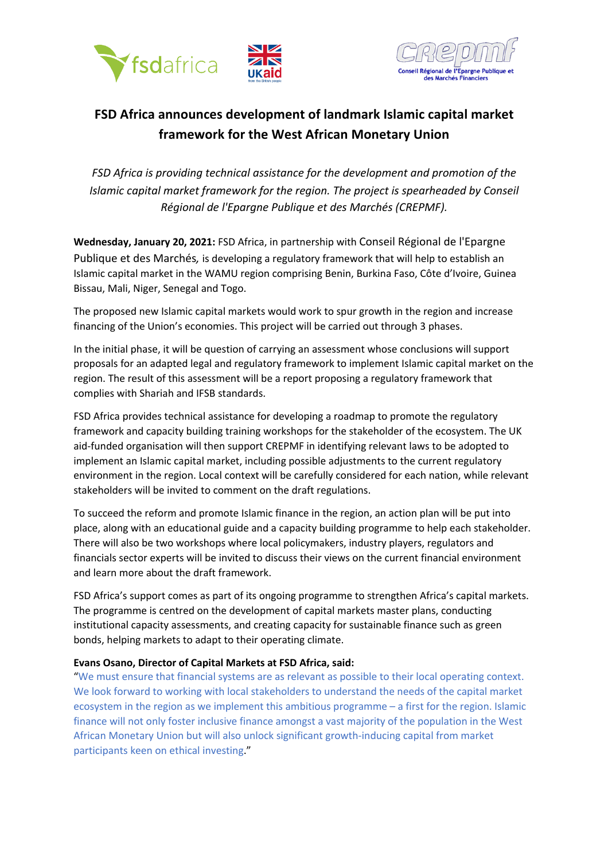



# **FSD Africa announces development of landmark Islamic capital market framework for the West African Monetary Union**

*FSD Africa is providing technical assistance for the development and promotion of the Islamic capital market framework for the region. The project is spearheaded by Conseil Régional de l'Epargne Publique et des Marchés (CREPMF).*

**Wednesday, January 20, 2021:** FSD Africa, in partnership with Conseil Régional de l'Epargne Publique et des Marchés*,* is developing a regulatory framework that will help to establish an Islamic capital market in the WAMU region comprising Benin, Burkina Faso, Côte d'Ivoire, Guinea Bissau, Mali, Niger, Senegal and Togo.

The proposed new Islamic capital markets would work to spur growth in the region and increase financing of the Union's economies. This project will be carried out through 3 phases.

In the initial phase, it will be question of carrying an assessment whose conclusions will support proposals for an adapted legal and regulatory framework to implement Islamic capital market on the region. The result of this assessment will be a report proposing a regulatory framework that complies with Shariah and IFSB standards.

FSD Africa provides technical assistance for developing a roadmap to promote the regulatory framework and capacity building training workshops for the stakeholder of the ecosystem. The UK aid-funded organisation will then support CREPMF in identifying relevant laws to be adopted to implement an Islamic capital market, including possible adjustments to the current regulatory environment in the region. Local context will be carefully considered for each nation, while relevant stakeholders will be invited to comment on the draft regulations.

To succeed the reform and promote Islamic finance in the region, an action plan will be put into place, along with an educational guide and a capacity building programme to help each stakeholder. There will also be two workshops where local policymakers, industry players, regulators and financials sector experts will be invited to discuss their views on the current financial environment and learn more about the draft framework.

FSD Africa's support comes as part of its ongoing programme to strengthen Africa's capital markets. The programme is centred on the development of capital markets master plans, conducting institutional capacity assessments, and creating capacity for sustainable finance such as green bonds, helping markets to adapt to their operating climate.

### **Evans Osano, Director of Capital Markets at FSD Africa, said:**

"We must ensure that financial systems are as relevant as possible to their local operating context. We look forward to working with local stakeholders to understand the needs of the capital market ecosystem in the region as we implement this ambitious programme – a first for the region. Islamic finance will not only foster inclusive finance amongst a vast majority of the population in the West African Monetary Union but will also unlock significant growth-inducing capital from market participants keen on ethical investing."